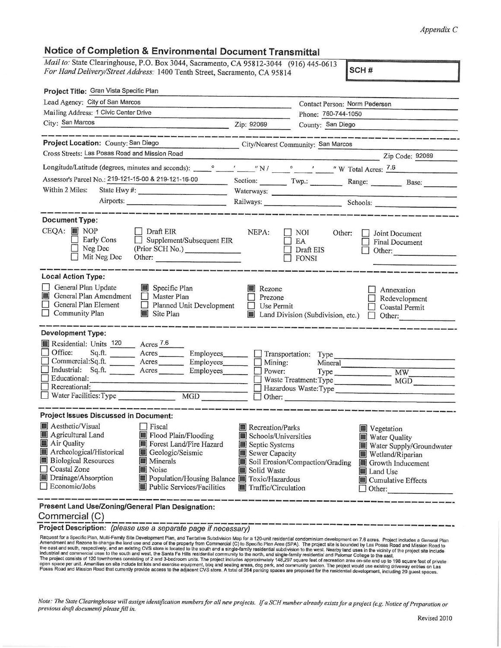## *Appendix* C

## **Notice of Completion** & **Environmental Document Transmittal**

| Mail to: State Clearinghouse, P.O. Box 3044, Sacramento, CA 95812-3044 (916) 445-0613                                                                                                                                                                                                                                                                                       |                                                                                                                                                                                                                                                                                                       |
|-----------------------------------------------------------------------------------------------------------------------------------------------------------------------------------------------------------------------------------------------------------------------------------------------------------------------------------------------------------------------------|-------------------------------------------------------------------------------------------------------------------------------------------------------------------------------------------------------------------------------------------------------------------------------------------------------|
| For Hand Delivery/Street Address: 1400 Tenth Street, Sacramento, CA 95814                                                                                                                                                                                                                                                                                                   | SCH#                                                                                                                                                                                                                                                                                                  |
| Project Title: Gran Vista Specific Plan                                                                                                                                                                                                                                                                                                                                     |                                                                                                                                                                                                                                                                                                       |
| Lead Agency: City of San Marcos                                                                                                                                                                                                                                                                                                                                             | Contact Person: Norm Pedersen                                                                                                                                                                                                                                                                         |
| Mailing Address: 1 Civic Center Drive                                                                                                                                                                                                                                                                                                                                       | Phone: 760-744-1050                                                                                                                                                                                                                                                                                   |
| City: San Marcos<br><u>Zip: 92069</u>                                                                                                                                                                                                                                                                                                                                       | County: San Diego                                                                                                                                                                                                                                                                                     |
| Project Location: County: San Diego                                                                                                                                                                                                                                                                                                                                         | The contract and contract and contract and contract and contract and contract and contract of the contract of<br>City/Nearest Community: San Marcos                                                                                                                                                   |
| Cross Streets: Las Posas Road and Mission Road                                                                                                                                                                                                                                                                                                                              | Zip Code: 92069                                                                                                                                                                                                                                                                                       |
|                                                                                                                                                                                                                                                                                                                                                                             |                                                                                                                                                                                                                                                                                                       |
| Assessor's Parcel No.: 219-121-15-00 & 219-121-16-00                                                                                                                                                                                                                                                                                                                        | Section: Twp.: Range: Base:                                                                                                                                                                                                                                                                           |
| Within 2 Miles:                                                                                                                                                                                                                                                                                                                                                             |                                                                                                                                                                                                                                                                                                       |
|                                                                                                                                                                                                                                                                                                                                                                             | Airports: Railways: Railways: Schools: Schools:                                                                                                                                                                                                                                                       |
| <b>Document Type:</b>                                                                                                                                                                                                                                                                                                                                                       |                                                                                                                                                                                                                                                                                                       |
| $CEQA:$ MOP<br>Draft EIR<br>Early Cons<br>$\Box$ Supplement/Subsequent EIR<br>Neg Dec<br>(Prior SCH No.)<br>Mit Neg Dec<br>Other:                                                                                                                                                                                                                                           | NEPA:<br>    NOI<br>Other:<br>Joint Document<br>EA<br>$\Box$ Final Document<br>Draft EIS<br>Other:<br>$\Box$ FONSI                                                                                                                                                                                    |
| <b>Local Action Type:</b><br>General Plan Update<br>Specific Plan<br>General Plan Amendment<br>Master Plan<br>General Plan Element<br>Planned Unit Development<br>Community Plan<br>Site Plan                                                                                                                                                                               | Rezone<br>Annexation<br>Prezone<br>Redevelopment<br>$\Box$ Use Permit<br>Coastal Permit<br>Land Division (Subdivision, etc.)<br>Other:<br>$\Box$                                                                                                                                                      |
| <b>Development Type:</b><br>Residential: Units 120 Acres 7.6<br>Office:<br>Commercial:Sq.ft. _______ Acres _______ Employees ______<br>Industrial: Sq.ft. ________ Acres<br>Educational:<br>Recreational:<br>Recreational:<br>Water Facilities:Type MGD MGD                                                                                                                 | Employees_______ [ Transportation: Type _______<br>Mining:<br>Mineral<br>$\Box$<br>Power:<br>Waste Treatment: Type<br>MGD<br>Hazardous Waste: Type<br>$\Box$ Other:                                                                                                                                   |
| <b>Project Issues Discussed in Document:</b>                                                                                                                                                                                                                                                                                                                                |                                                                                                                                                                                                                                                                                                       |
| Aesthetic/Visual Fiscal<br>Agricultural Land<br>Flood Plain/Flooding<br>Air Quality<br>Forest Land/Fire Hazard<br>Archeological/Historical<br>Geologic/Seismic<br><b>Biological Resources</b><br>u<br>Minerals<br>Coastal Zone<br>Noise<br>Drainage/Absorption<br>Population/Housing Balance <b>T</b> Toxic/Hazardous<br>$\Box$ Economic/Jobs<br>Public Services/Facilities | Recreation/Parks<br>Vegetation<br>Schools/Universities<br>Water Quality<br>Septic Systems<br>Water Supply/Groundwater<br>Sewer Capacity<br>Wetland/Riparian<br>Soil Erosion/Compaction/Grading<br>Growth Inducement<br>Solid Waste<br>Land Use<br>Cumulative Effects<br>Traffic/Circulation<br>Other: |
| Present Land Use/Zoning/General Plan Designation:<br>Commercial (C)                                                                                                                                                                                                                                                                                                         |                                                                                                                                                                                                                                                                                                       |

**Project Description:** (please use a separate page if necessary)

Request for a Specific Plan, Multi-Family Site Development Plan, and Tentative Subdivision Map for a 120-unit residential condominium development on 7.6 acres. Project includes a General Plan<br>Amendment and Rezone to change

*Note: The State Clearinghouse will assign identification numbers for all new projects.* If *a SCH number already exists for a project (e.g. Notice of Preparation or previous draft documem) please fill in.*